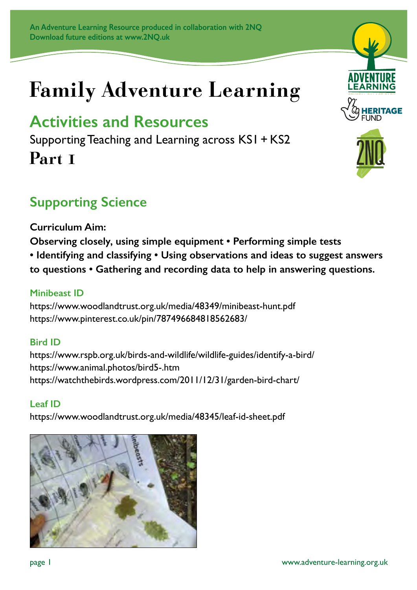# **Family Adventure Learning**

## **Activities and Resources**

Supporting Teaching and Learning across KS1 + KS2 **Part 1**

## **Supporting Science**

**Curriculum Aim:** 

- **Observing closely, using simple equipment Performing simple tests**
- **Identifying and classifying Using observations and ideas to suggest answers**

**to questions • Gathering and recording data to help in answering questions.**

#### **Minibeast ID**

https://www.woodlandtrust.org.uk/media/48349/minibeast-hunt.pdf https://www.pinterest.co.uk/pin/787496684818562683/

#### **Bird ID**

https://www.rspb.org.uk/birds-and-wildlife/wildlife-guides/identify-a-bird/ https://www.animal.photos/bird5-.htm https://watchthebirds.wordpress.com/2011/12/31/garden-bird-chart/

#### **Leaf ID**

https://www.woodlandtrust.org.uk/media/48345/leaf-id-sheet.pdf







page 1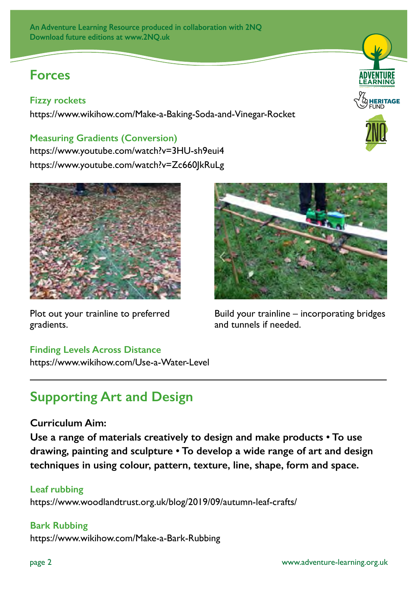### **Forces**

#### **Fizzy rockets**

https://www.wikihow.com/Make-a-Baking-Soda-and-Vinegar-Rocket

#### **Measuring Gradients (Conversion)**

https://www.youtube.com/watch?v=3HU-sh9eui4 https://www.youtube.com/watch?v=Zc660JkRuLg



Plot out your trainline to preferred gradients.

#### **Finding Levels Across Distance**

https://www.wikihow.com/Use-a-Water-Level

## **Supporting Art and Design**

#### **Curriculum Aim:**

**Use a range of materials creatively to design and make products • To use drawing, painting and sculpture • To develop a wide range of art and design techniques in using colour, pattern, texture, line, shape, form and space.**

#### **Leaf rubbing**

https://www.woodlandtrust.org.uk/blog/2019/09/autumn-leaf-crafts/

#### **Bark Rubbing**

https://www.wikihow.com/Make-a-Bark-Rubbing



Build your trainline – incorporating bridges and tunnels if needed.



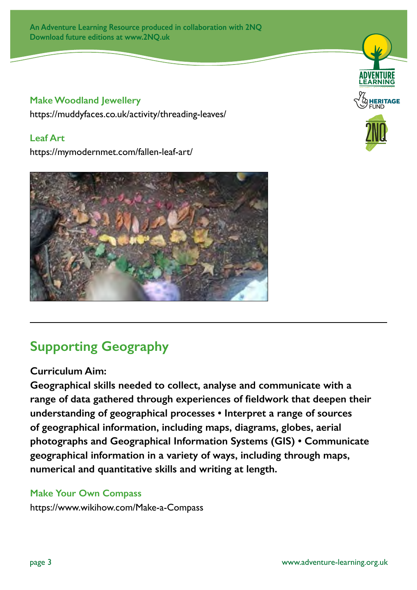**An Adventure Learning Resource produced in collaboration with 2NQ Download future editions at www.2NQ.uk**

#### **Make Woodland Jewellery**

https://muddyfaces.co.uk/activity/threading-leaves/

#### **Leaf Art**

https://mymodernmet.com/fallen-leaf-art/



## **Supporting Geography**

#### **Curriculum Aim:**

**Geographical skills needed to collect, analyse and communicate with a range of data gathered through experiences of fieldwork that deepen their understanding of geographical processes • Interpret a range of sources of geographical information, including maps, diagrams, globes, aerial photographs and Geographical Information Systems (GIS) • Communicate geographical information in a variety of ways, including through maps, numerical and quantitative skills and writing at length.**

#### **Make Your Own Compass**

https://www.wikihow.com/Make-a-Compass